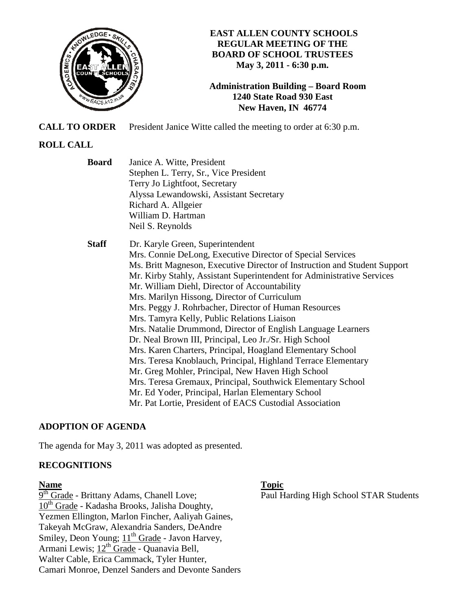

**EAST ALLEN COUNTY SCHOOLS REGULAR MEETING OF THE BOARD OF SCHOOL TRUSTEES May 3, 2011 - 6:30 p.m.** 

**Administration Building – Board Room 1240 State Road 930 East New Haven, IN 46774**

**CALL TO ORDER** President Janice Witte called the meeting to order at 6:30 p.m.

# **ROLL CALL**

- **Board** Janice A. Witte, President Stephen L. Terry, Sr., Vice President Terry Jo Lightfoot, Secretary Alyssa Lewandowski, Assistant Secretary Richard A. Allgeier William D. Hartman Neil S. Reynolds
- **Staff** Dr. Karyle Green, Superintendent Mrs. Connie DeLong, Executive Director of Special Services Ms. Britt Magneson, Executive Director of Instruction and Student Support Mr. Kirby Stahly, Assistant Superintendent for Administrative Services Mr. William Diehl, Director of Accountability Mrs. Marilyn Hissong, Director of Curriculum Mrs. Peggy J. Rohrbacher, Director of Human Resources Mrs. Tamyra Kelly, Public Relations Liaison Mrs. Natalie Drummond, Director of English Language Learners Dr. Neal Brown III, Principal, Leo Jr./Sr. High School Mrs. Karen Charters, Principal, Hoagland Elementary School Mrs. Teresa Knoblauch, Principal, Highland Terrace Elementary Mr. Greg Mohler, Principal, New Haven High School Mrs. Teresa Gremaux, Principal, Southwick Elementary School Mr. Ed Yoder, Principal, Harlan Elementary School Mr. Pat Lortie, President of EACS Custodial Association

# **ADOPTION OF AGENDA**

The agenda for May 3, 2011 was adopted as presented.

# **RECOGNITIONS**

9<sup>th</sup> Grade - Brittany Adams, Chanell Love;  $10^{th}$  Grade - Kadasha Brooks, Jalisha Doughty, Yezmen Ellington, Marlon Fincher, Aaliyah Gaines, Takeyah McGraw, Alexandria Sanders, DeAndre Smiley, Deon Young; 11<sup>th</sup> Grade - Javon Harvey, Armani Lewis; 12<sup>th</sup> Grade - Quanavia Bell, Walter Cable, Erica Cammack, Tyler Hunter, Camari Monroe, Denzel Sanders and Devonte Sanders

**Name** Topic **Name** Topic

Paul Harding High School STAR Students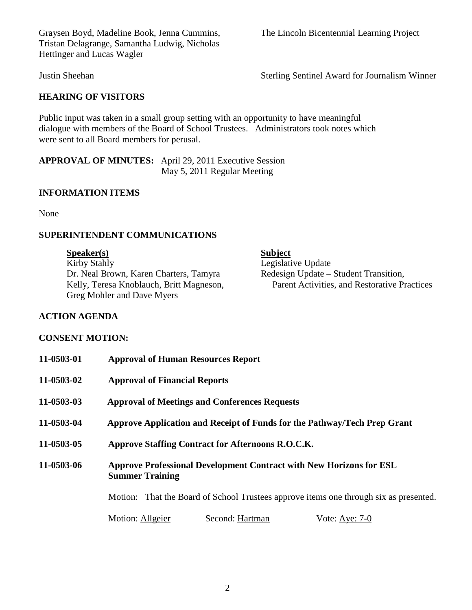Graysen Boyd, Madeline Book, Jenna Cummins, The Lincoln Bicentennial Learning Project Tristan Delagrange, Samantha Ludwig, Nicholas Hettinger and Lucas Wagler

# **HEARING OF VISITORS**

Public input was taken in a small group setting with an opportunity to have meaningful dialogue with members of the Board of School Trustees. Administrators took notes which were sent to all Board members for perusal.

**APPROVAL OF MINUTES:** April 29, 2011 Executive Session May 5, 2011 Regular Meeting

## **INFORMATION ITEMS**

None

# **SUPERINTENDENT COMMUNICATIONS**

| S <sub>p</sub> eaker(s)                  | <b>Subject</b>                               |
|------------------------------------------|----------------------------------------------|
| Kirby Stahly                             | Legislative Update                           |
| Dr. Neal Brown, Karen Charters, Tamyra   | Redesign Update – Student Transition,        |
| Kelly, Teresa Knoblauch, Britt Magneson, | Parent Activities, and Restorative Practices |
| Greg Mohler and Dave Myers               |                                              |
|                                          |                                              |

### **ACTION AGENDA**

#### **CONSENT MOTION:**

| 11-0503-01 | <b>Approval of Human Resources Report</b>                                                            |  |
|------------|------------------------------------------------------------------------------------------------------|--|
| 11-0503-02 | <b>Approval of Financial Reports</b>                                                                 |  |
| 11-0503-03 | <b>Approval of Meetings and Conferences Requests</b>                                                 |  |
| 11-0503-04 | Approve Application and Receipt of Funds for the Pathway/Tech Prep Grant                             |  |
| 11-0503-05 | Approve Staffing Contract for Afternoons R.O.C.K.                                                    |  |
| 11-0503-06 | <b>Approve Professional Development Contract with New Horizons for ESL</b><br><b>Summer Training</b> |  |
|            | Motion: That the Board of School Trustees approve items one through six as presented.                |  |
|            | Second: Hartman<br>Motion: Allgeier<br>Vote: Aye: $7-0$                                              |  |

Justin Sheehan Sterling Sentinel Award for Journalism Winner